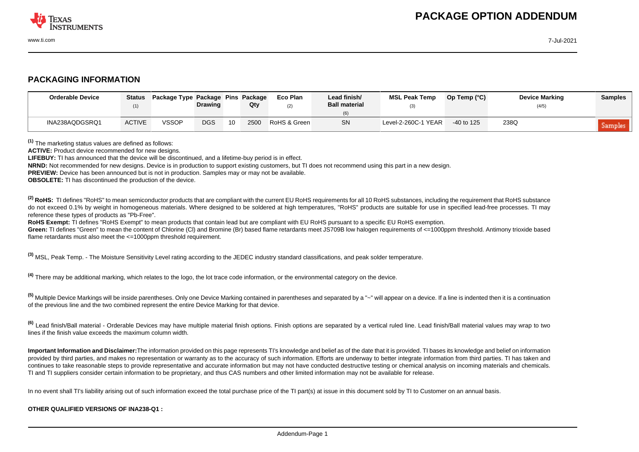

## **PACKAGING INFORMATION**

| <b>Orderable Device</b> | Status        | Package Type Package Pins Package | <b>Drawing</b> |    | Qty  | Eco Plan<br>(2) | Lead finish/<br><b>Ball material</b> | <b>MSL Peak Temp</b> | Op Temp (°C) | <b>Device Marking</b><br>(4/5) | <b>Samples</b> |
|-------------------------|---------------|-----------------------------------|----------------|----|------|-----------------|--------------------------------------|----------------------|--------------|--------------------------------|----------------|
| INA238AQDGSRQ1          | <b>ACTIVE</b> | <b>VSSOP</b>                      | <b>DGS</b>     | 10 | 2500 | RoHS & Green    | <b>SN</b>                            | Level-2-260C-1 YEAR  | $-40$ to 125 | 238Q                           | Samples        |

**(1)** The marketing status values are defined as follows:

**ACTIVE:** Product device recommended for new designs.

**LIFEBUY:** TI has announced that the device will be discontinued, and a lifetime-buy period is in effect.

**NRND:** Not recommended for new designs. Device is in production to support existing customers, but TI does not recommend using this part in a new design.

**PREVIEW:** Device has been announced but is not in production. Samples may or may not be available.

**OBSOLETE:** TI has discontinued the production of the device.

<sup>(2)</sup> RoHS: TI defines "RoHS" to mean semiconductor products that are compliant with the current EU RoHS requirements for all 10 RoHS substances, including the requirement that RoHS substance do not exceed 0.1% by weight in homogeneous materials. Where designed to be soldered at high temperatures. "RoHS" products are suitable for use in specified lead-free processes. TI may reference these types of products as "Pb-Free".

**RoHS Exempt:** TI defines "RoHS Exempt" to mean products that contain lead but are compliant with EU RoHS pursuant to a specific EU RoHS exemption.

Green: TI defines "Green" to mean the content of Chlorine (CI) and Bromine (Br) based flame retardants meet JS709B low halogen requirements of <=1000ppm threshold. Antimony trioxide based flame retardants must also meet the <=1000ppm threshold requirement.

**(3)** MSL, Peak Temp. - The Moisture Sensitivity Level rating according to the JEDEC industry standard classifications, and peak solder temperature.

**(4)** There may be additional marking, which relates to the logo, the lot trace code information, or the environmental category on the device.

**(5)** Multiple Device Markings will be inside parentheses. Only one Device Marking contained in parentheses and separated by a "~" will appear on a device. If a line is indented then it is a continuation of the previous line and the two combined represent the entire Device Marking for that device.

**(6)** Lead finish/Ball material - Orderable Devices may have multiple material finish options. Finish options are separated by a vertical ruled line. Lead finish/Ball material values may wrap to two lines if the finish value exceeds the maximum column width.

**Important Information and Disclaimer:**The information provided on this page represents TI's knowledge and belief as of the date that it is provided. TI bases its knowledge and belief on information provided by third parties, and makes no representation or warranty as to the accuracy of such information. Efforts are underway to better integrate information from third parties. TI has taken and continues to take reasonable steps to provide representative and accurate information but may not have conducted destructive testing or chemical analysis on incoming materials and chemicals. TI and TI suppliers consider certain information to be proprietary, and thus CAS numbers and other limited information may not be available for release.

In no event shall TI's liability arising out of such information exceed the total purchase price of the TI part(s) at issue in this document sold by TI to Customer on an annual basis.

## **OTHER QUALIFIED VERSIONS OF INA238-Q1 :**